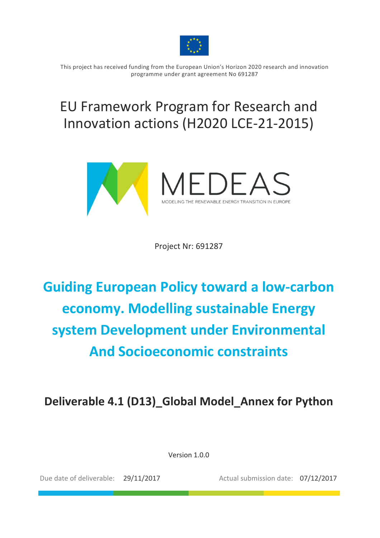

This project has received funding from the European Union's Horizon 2020 research and innovation programme under grant agreement No 691287

## EU Framework Program for Research and Innovation actions (H2020 LCE-21-2015)



Project Nr: 691287

# **Guiding European Policy toward a low-carbon economy. Modelling sustainable Energy system Development under Environmental And Socioeconomic constraints**

Deliverable 4.1 (D13) Global Model Annex for Python

Version 1.0.0

Due date of deliverable: 29/11/2017 Actual submission date: 07/12/2017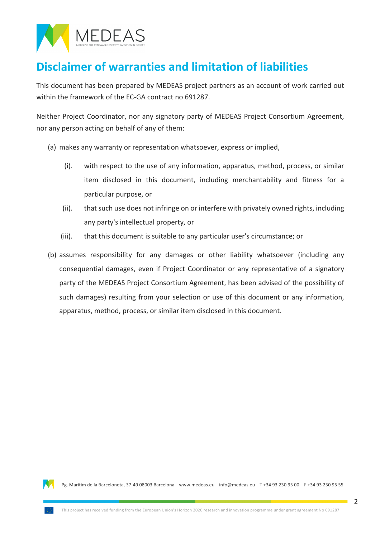

### **Disclaimer of warranties and limitation of liabilities**

This document has been prepared by MEDEAS project partners as an account of work carried out within the framework of the EC-GA contract no 691287.

Neither Project Coordinator, nor any signatory party of MEDEAS Project Consortium Agreement, nor any person acting on behalf of any of them:

- (a) makes any warranty or representation whatsoever, express or implied,
	- $(i)$ . with respect to the use of any information, apparatus, method, process, or similar item disclosed in this document, including merchantability and fitness for a particular purpose, or
	- (ii). that such use does not infringe on or interfere with privately owned rights, including any party's intellectual property, or
	- (iii). that this document is suitable to any particular user's circumstance; or
- (b) assumes responsibility for any damages or other liability whatsoever (including any consequential damages, even if Project Coordinator or any representative of a signatory party of the MEDEAS Project Consortium Agreement, has been advised of the possibility of such damages) resulting from your selection or use of this document or any information, apparatus, method, process, or similar item disclosed in this document.

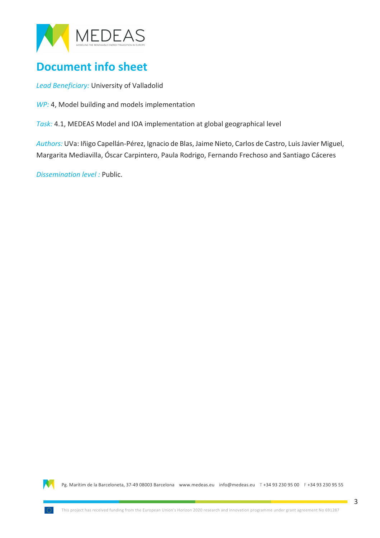

### **Document info sheet**

Lead Beneficiary: University of Valladolid

*WP:* 4, Model building and models implementation

Task: 4.1, MEDEAS Model and IOA implementation at global geographical level

Authors: UVa: Iñigo Capellán-Pérez, Ignacio de Blas, Jaime Nieto, Carlos de Castro, Luis Javier Miguel, Margarita Mediavilla, Óscar Carpintero, Paula Rodrigo, Fernando Frechoso and Santiago Cáceres

*Dissemination level :* Public.

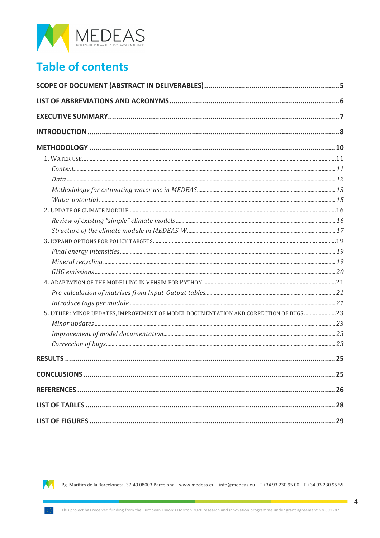

### **Table of contents**

| 5. OTHER: MINOR UPDATES, IMPROVEMENT OF MODEL DOCUMENTATION AND CORRECTION OF BUGS23 |  |  |  |
|--------------------------------------------------------------------------------------|--|--|--|
|                                                                                      |  |  |  |
|                                                                                      |  |  |  |
|                                                                                      |  |  |  |
|                                                                                      |  |  |  |
|                                                                                      |  |  |  |
|                                                                                      |  |  |  |
|                                                                                      |  |  |  |
|                                                                                      |  |  |  |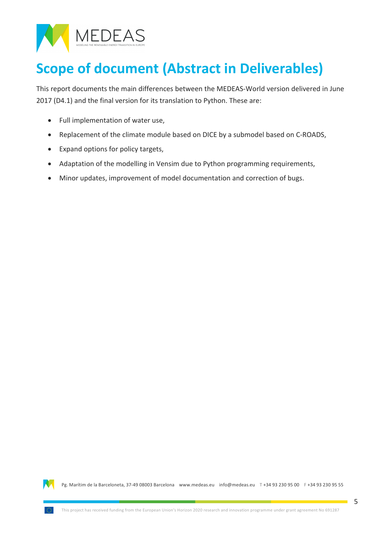

# **Scope of document (Abstract in Deliverables)**

This report documents the main differences between the MEDEAS-World version delivered in June 2017 (D4.1) and the final version for its translation to Python. These are:

- $\bullet$  Full implementation of water use,
- Replacement of the climate module based on DICE by a submodel based on C-ROADS,
- Expand options for policy targets,
- Adaptation of the modelling in Vensim due to Python programming requirements,
- Minor updates, improvement of model documentation and correction of bugs.

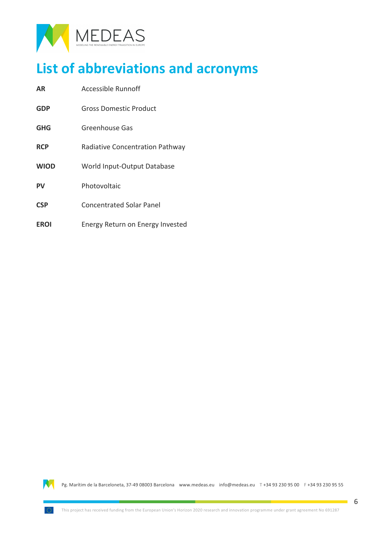

## **List of abbreviations and acronyms**

**AR** Accessible Runnoff **GDP** Gross Domestic Product **GHG** Greenhouse Gas **RCP** Radiative Concentration Pathway **WIOD** World Input-Output Database **PV** Photovoltaic **CSP** Concentrated Solar Panel **EROI** Energy Return on Energy Invested

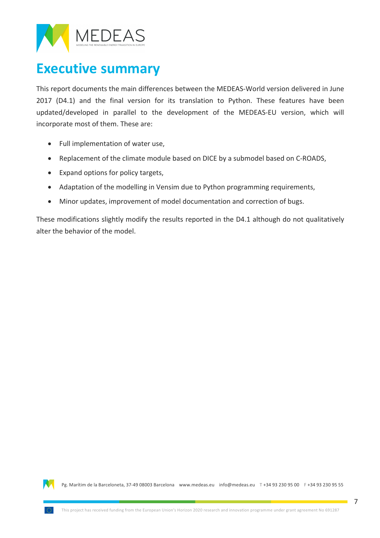

### **Executive summary**

This report documents the main differences between the MEDEAS-World version delivered in June 2017 (D4.1) and the final version for its translation to Python. These features have been updated/developed in parallel to the development of the MEDEAS-EU version, which will incorporate most of them. These are:

- Full implementation of water use,
- Replacement of the climate module based on DICE by a submodel based on C-ROADS,
- Expand options for policy targets,
- Adaptation of the modelling in Vensim due to Python programming requirements,
- Minor updates, improvement of model documentation and correction of bugs.

These modifications slightly modify the results reported in the D4.1 although do not qualitatively alter the behavior of the model.

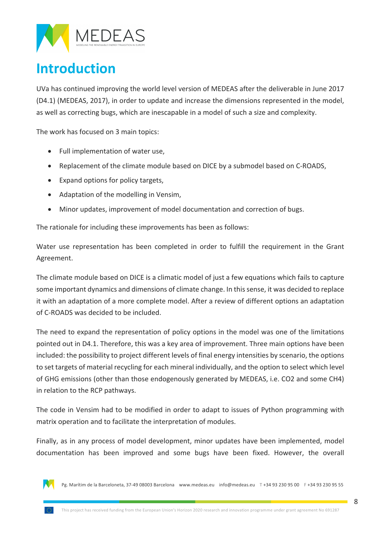

## **Introduction**

UVa has continued improving the world level version of MEDEAS after the deliverable in June 2017 (D4.1) (MEDEAS, 2017), in order to update and increase the dimensions represented in the model, as well as correcting bugs, which are inescapable in a model of such a size and complexity.

The work has focused on 3 main topics:

- $\bullet$  Full implementation of water use,
- Replacement of the climate module based on DICE by a submodel based on C-ROADS,
- Expand options for policy targets,
- Adaptation of the modelling in Vensim,
- Minor updates, improvement of model documentation and correction of bugs.

The rationale for including these improvements has been as follows:

Water use representation has been completed in order to fulfill the requirement in the Grant Agreement.

The climate module based on DICE is a climatic model of just a few equations which fails to capture some important dynamics and dimensions of climate change. In this sense, it was decided to replace it with an adaptation of a more complete model. After a review of different options an adaptation of C-ROADS was decided to be included.

The need to expand the representation of policy options in the model was one of the limitations pointed out in D4.1. Therefore, this was a key area of improvement. Three main options have been included: the possibility to project different levels of final energy intensities by scenario, the options to set targets of material recycling for each mineral individually, and the option to select which level of GHG emissions (other than those endogenously generated by MEDEAS, i.e. CO2 and some CH4) in relation to the RCP pathways.

The code in Vensim had to be modified in order to adapt to issues of Python programming with matrix operation and to facilitate the interpretation of modules.

Finally, as in any process of model development, minor updates have been implemented, model documentation has been improved and some bugs have been fixed. However, the overall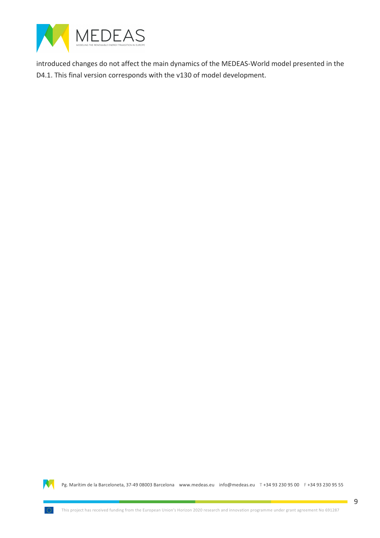

introduced changes do not affect the main dynamics of the MEDEAS-World model presented in the D4.1. This final version corresponds with the v130 of model development.

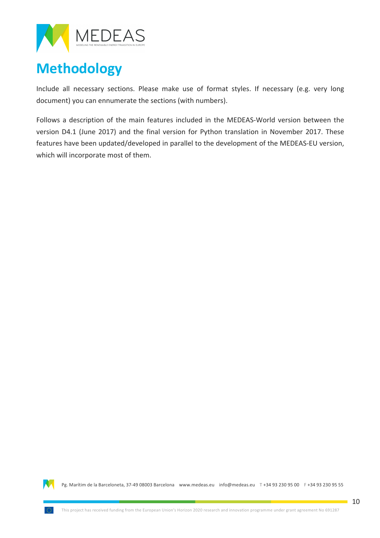

## **Methodology**

Include all necessary sections. Please make use of format styles. If necessary (e.g. very long document) you can ennumerate the sections (with numbers).

Follows a description of the main features included in the MEDEAS-World version between the version D4.1 (June 2017) and the final version for Python translation in November 2017. These features have been updated/developed in parallel to the development of the MEDEAS-EU version, which will incorporate most of them.

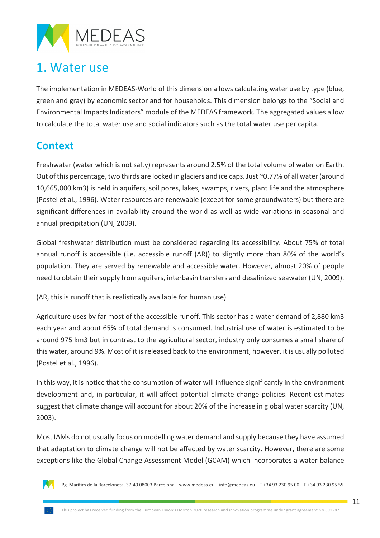

### 1. Water use

The implementation in MEDEAS-World of this dimension allows calculating water use by type (blue, green and gray) by economic sector and for households. This dimension belongs to the "Social and Environmental Impacts Indicators" module of the MEDEAS framework. The aggregated values allow to calculate the total water use and social indicators such as the total water use per capita.

### **Context**

Freshwater (water which is not salty) represents around 2.5% of the total volume of water on Earth. Out of this percentage, two thirds are locked in glaciers and ice caps. Just  $\sim$  0.77% of all water (around 10,665,000 km3) is held in aquifers, soil pores, lakes, swamps, rivers, plant life and the atmosphere (Postel et al., 1996). Water resources are renewable (except for some groundwaters) but there are significant differences in availability around the world as well as wide variations in seasonal and annual precipitation (UN, 2009).

Global freshwater distribution must be considered regarding its accessibility. About 75% of total annual runoff is accessible (i.e. accessible runoff  $(AR)$ ) to slightly more than 80% of the world's population. They are served by renewable and accessible water. However, almost 20% of people need to obtain their supply from aquifers, interbasin transfers and desalinized seawater (UN, 2009).

(AR, this is runoff that is realistically available for human use)

Agriculture uses by far most of the accessible runoff. This sector has a water demand of 2,880 km3 each year and about 65% of total demand is consumed. Industrial use of water is estimated to be around 975 km3 but in contrast to the agricultural sector, industry only consumes a small share of this water, around 9%. Most of it is released back to the environment, however, it is usually polluted (Postel et al., 1996).

In this way, it is notice that the consumption of water will influence significantly in the environment development and, in particular, it will affect potential climate change policies. Recent estimates suggest that climate change will account for about 20% of the increase in global water scarcity (UN, 2003).

Most IAMs do not usually focus on modelling water demand and supply because they have assumed that adaptation to climate change will not be affected by water scarcity. However, there are some exceptions like the Global Change Assessment Model (GCAM) which incorporates a water-balance

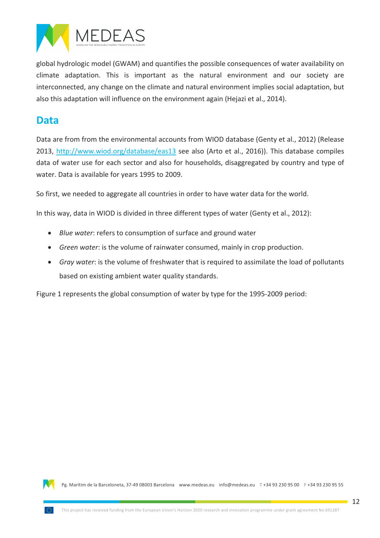

global hydrologic model (GWAM) and quantifies the possible consequences of water availability on climate adaptation. This is important as the natural environment and our society are interconnected, any change on the climate and natural environment implies social adaptation, but also this adaptation will influence on the environment again (Hejazi et al., 2014).

#### **Data**

Data are from from the environmental accounts from WIOD database (Genty et al., 2012) (Release 2013, http://www.wiod.org/database/eas13 see also (Arto et al., 2016)). This database compiles data of water use for each sector and also for households, disaggregated by country and type of water. Data is available for years 1995 to 2009.

So first, we needed to aggregate all countries in order to have water data for the world.

In this way, data in WIOD is divided in three different types of water (Genty et al., 2012):

- *Blue water*: refers to consumption of surface and ground water
- *Green water*: is the volume of rainwater consumed, mainly in crop production.
- *Gray water*: is the volume of freshwater that is required to assimilate the load of pollutants based on existing ambient water quality standards.

Figure 1 represents the global consumption of water by type for the 1995-2009 period:

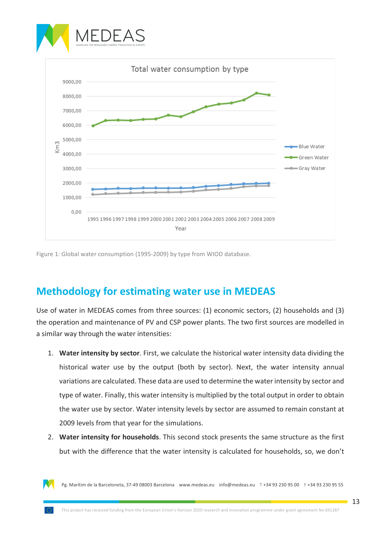



Figure 1: Global water consumption (1995-2009) by type from WIOD database.

#### **Methodology for estimating water use in MEDEAS**

Use of water in MEDEAS comes from three sources: (1) economic sectors, (2) households and (3) the operation and maintenance of PV and CSP power plants. The two first sources are modelled in a similar way through the water intensities:

- 1. **Water intensity by sector**. First, we calculate the historical water intensity data dividing the historical water use by the output (both by sector). Next, the water intensity annual variations are calculated. These data are used to determine the water intensity by sector and type of water. Finally, this water intensity is multiplied by the total output in order to obtain the water use by sector. Water intensity levels by sector are assumed to remain constant at 2009 levels from that year for the simulations.
- 2. Water intensity for households. This second stock presents the same structure as the first but with the difference that the water intensity is calculated for households, so, we don't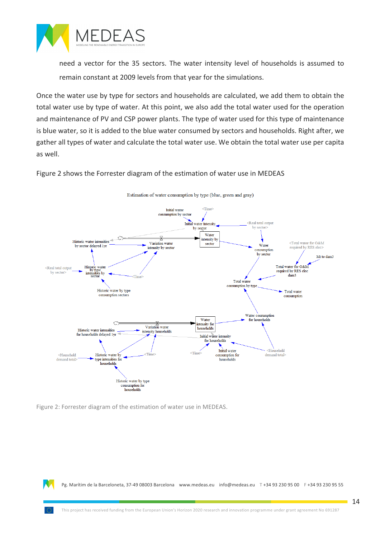

need a vector for the 35 sectors. The water intensity level of households is assumed to remain constant at 2009 levels from that year for the simulations.

Once the water use by type for sectors and households are calculated, we add them to obtain the total water use by type of water. At this point, we also add the total water used for the operation and maintenance of PV and CSP power plants. The type of water used for this type of maintenance is blue water, so it is added to the blue water consumed by sectors and households. Right after, we gather all types of water and calculate the total water use. We obtain the total water use per capita as well.

Figure 2 shows the Forrester diagram of the estimation of water use in MEDEAS



Estimation of water consumption by type (blue, green and gray)

Figure 2: Forrester diagram of the estimation of water use in MEDEAS.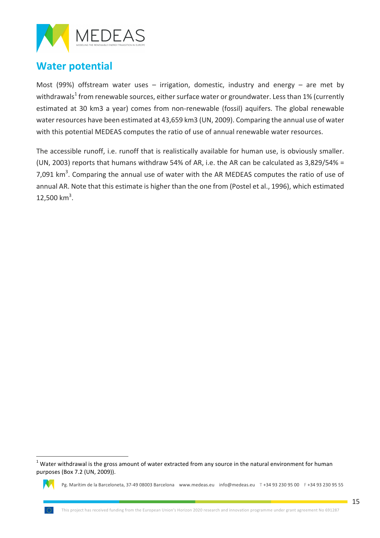

### **Water potential**

Most (99%) offstream water uses  $-$  irrigation, domestic, industry and energy  $-$  are met by withdrawals<sup>1</sup> from renewable sources, either surface water or groundwater. Less than 1% (currently estimated at 30 km3 a year) comes from non-renewable (fossil) aquifers. The global renewable water resources have been estimated at 43,659 km3 (UN, 2009). Comparing the annual use of water with this potential MEDEAS computes the ratio of use of annual renewable water resources.

The accessible runoff, i.e. runoff that is realistically available for human use, is obviously smaller. (UN, 2003) reports that humans withdraw 54% of AR, i.e. the AR can be calculated as  $3,829/54\% =$ 7,091  $km<sup>3</sup>$ . Comparing the annual use of water with the AR MEDEAS computes the ratio of use of annual AR. Note that this estimate is higher than the one from (Postel et al., 1996), which estimated  $12,500$  km<sup>3</sup>.

 $1$  Water withdrawal is the gross amount of water extracted from any source in the natural environment for human purposes (Box 7.2 (UN, 2009)).

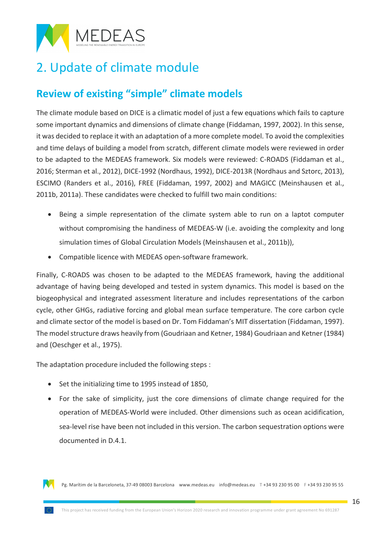

### 2. Update of climate module

### **Review of existing "simple" climate models**

The climate module based on DICE is a climatic model of just a few equations which fails to capture some important dynamics and dimensions of climate change (Fiddaman, 1997, 2002). In this sense, it was decided to replace it with an adaptation of a more complete model. To avoid the complexities and time delays of building a model from scratch, different climate models were reviewed in order to be adapted to the MEDEAS framework. Six models were reviewed: C-ROADS (Fiddaman et al., 2016; Sterman et al., 2012), DICE-1992 (Nordhaus, 1992), DICE-2013R (Nordhaus and Sztorc, 2013), ESCIMO (Randers et al., 2016), FREE (Fiddaman, 1997, 2002) and MAGICC (Meinshausen et al., 2011b, 2011a). These candidates were checked to fulfill two main conditions:

- Being a simple representation of the climate system able to run on a laptot computer without compromising the handiness of MEDEAS-W (i.e. avoiding the complexity and long simulation times of Global Circulation Models (Meinshausen et al., 2011b)),
- Compatible licence with MEDEAS open-software framework.

Finally, C-ROADS was chosen to be adapted to the MEDEAS framework, having the additional advantage of having being developed and tested in system dynamics. This model is based on the biogeophysical and integrated assessment literature and includes representations of the carbon cycle, other GHGs, radiative forcing and global mean surface temperature. The core carbon cycle and climate sector of the model is based on Dr. Tom Fiddaman's MIT dissertation (Fiddaman, 1997). The model structure draws heavily from (Goudriaan and Ketner, 1984) Goudriaan and Ketner (1984) and (Oeschger et al., 1975).

The adaptation procedure included the following steps :

- Set the initializing time to 1995 instead of 1850,
- For the sake of simplicity, just the core dimensions of climate change required for the operation of MEDEAS-World were included. Other dimensions such as ocean acidification, sea-level rise have been not included in this version. The carbon sequestration options were documented in D.4.1.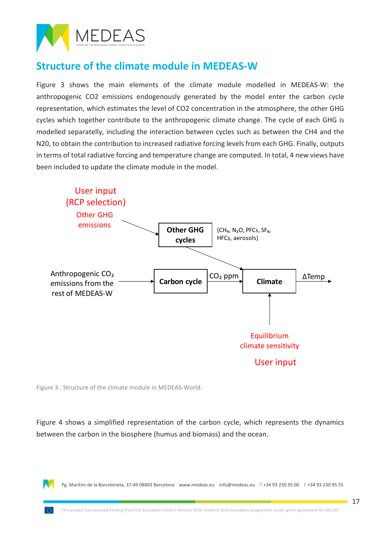

### **Structure of the climate module in MEDEAS-W**

Figure 3 shows the main elements of the climate module modelled in MEDEAS-W: the anthropogenic CO2 emissions endogenously generated by the model enter the carbon cycle representation, which estimates the level of CO2 concentration in the atmosphere, the other GHG cycles which together contribute to the anthropogenic climate change. The cycle of each GHG is modelled separatelly, including the interaction between cycles such as between the CH4 and the N20, to obtain the contribution to increased radiative forcing levels from each GHG. Finally, outputs in terms of total radiative forcing and temperature change are computed. In total, 4 new views have been included to update the climate module in the model.



Figure 3 : Structure of the climate module in MEDEAS-World.

Figure 4 shows a simplified representation of the carbon cycle, which represents the dynamics between the carbon in the biosphere (humus and biomass) and the ocean.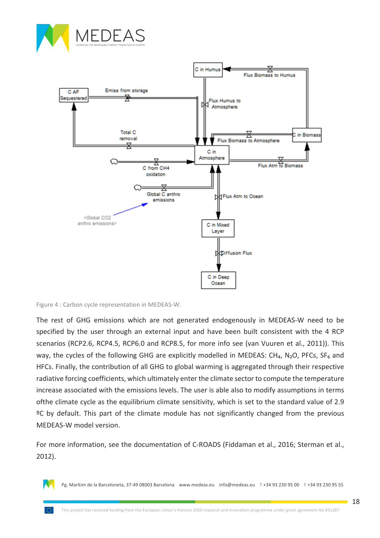



Figure 4 : Carbon cycle representation in MEDEAS-W.

The rest of GHG emissions which are not generated endogenously in MEDEAS-W need to be specified by the user through an external input and have been built consistent with the 4 RCP scenarios (RCP2.6, RCP4.5, RCP6.0 and RCP8.5, for more info see (van Vuuren et al., 2011)). This way, the cycles of the following GHG are explicitly modelled in MEDEAS: CH<sub>4</sub>, N<sub>2</sub>O, PFCs, SF<sub>6</sub> and HFCs. Finally, the contribution of all GHG to global warming is aggregated through their respective radiative forcing coefficients, which ultimately enter the climate sector to compute the temperature increase associated with the emissions levels. The user is able also to modify assumptions in terms of the climate cycle as the equilibrium climate sensitivity, which is set to the standard value of 2.9 <sup>o</sup>C by default. This part of the climate module has not significantly changed from the previous MEDEAS-W model version.

For more information, see the documentation of C-ROADS (Fiddaman et al., 2016; Sterman et al., 2012).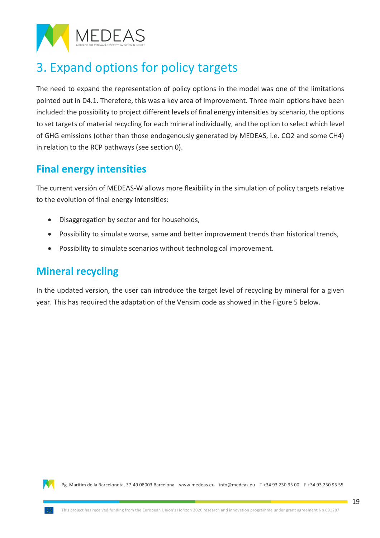

## 3. Expand options for policy targets

The need to expand the representation of policy options in the model was one of the limitations pointed out in D4.1. Therefore, this was a key area of improvement. Three main options have been included: the possibility to project different levels of final energy intensities by scenario, the options to set targets of material recycling for each mineral individually, and the option to select which level of GHG emissions (other than those endogenously generated by MEDEAS, i.e. CO2 and some CH4) in relation to the RCP pathways (see section 0).

### **Final energy intensities**

The current versión of MEDEAS-W allows more flexibility in the simulation of policy targets relative to the evolution of final energy intensities:

- Disaggregation by sector and for households,
- Possibility to simulate worse, same and better improvement trends than historical trends,
- Possibility to simulate scenarios without technological improvement.

#### **Mineral recycling**

In the updated version, the user can introduce the target level of recycling by mineral for a given year. This has required the adaptation of the Vensim code as showed in the Figure 5 below.

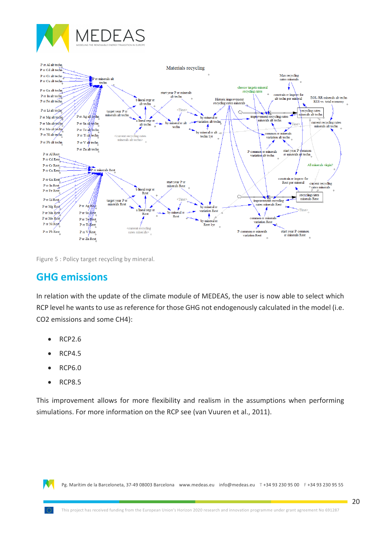

Figure 5 : Policy target recycling by mineral.

#### **GHG emissions**

In relation with the update of the climate module of MEDEAS, the user is now able to select which RCP level he wants to use as reference for those GHG not endogenously calculated in the model (i.e. CO2 emissions and some CH4):

- RCP2.6
- RCP4.5
- RCP6.0
- RCP8.5

This improvement allows for more flexibility and realism in the assumptions when performing simulations. For more information on the RCP see (van Vuuren et al., 2011).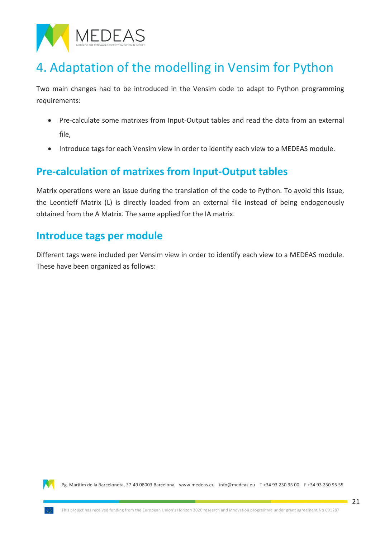

### 4. Adaptation of the modelling in Vensim for Python

Two main changes had to be introduced in the Vensim code to adapt to Python programming requirements: 

- Pre-calculate some matrixes from Input-Output tables and read the data from an external file,
- Introduce tags for each Vensim view in order to identify each view to a MEDEAS module.

### **Pre-calculation of matrixes from Input-Output tables**

Matrix operations were an issue during the translation of the code to Python. To avoid this issue, the Leontieff Matrix (L) is directly loaded from an external file instead of being endogenously obtained from the A Matrix. The same applied for the IA matrix.

#### **Introduce tags per module**

Different tags were included per Vensim view in order to identify each view to a MEDEAS module. These have been organized as follows:

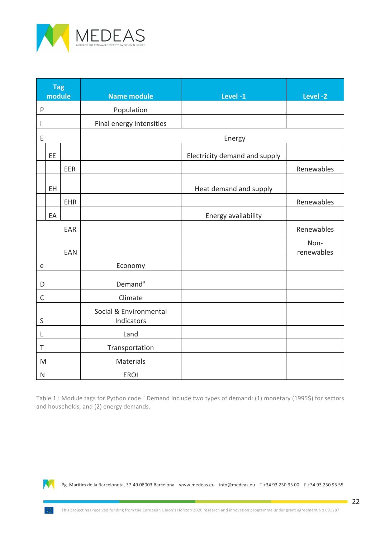

| <b>Tag</b><br>module |     |            | <b>Name module</b>                   | Level-1                       | Level-2            |
|----------------------|-----|------------|--------------------------------------|-------------------------------|--------------------|
| $\mathsf{P}$         |     |            | Population                           |                               |                    |
| I                    |     |            | Final energy intensities             |                               |                    |
| E                    |     |            |                                      | Energy                        |                    |
|                      | EE  |            |                                      | Electricity demand and supply |                    |
|                      |     | EER        |                                      |                               | Renewables         |
|                      | EH. |            |                                      | Heat demand and supply        |                    |
|                      |     | EHR        |                                      |                               | Renewables         |
|                      | EA  |            |                                      | Energy availability           |                    |
|                      |     | EAR        |                                      |                               | Renewables         |
|                      |     | <b>EAN</b> |                                      |                               | Non-<br>renewables |
| e                    |     |            | Economy                              |                               |                    |
| D                    |     |            | Demand <sup>a</sup>                  |                               |                    |
| $\mathsf C$          |     |            | Climate                              |                               |                    |
| $\sf S$              |     |            | Social & Environmental<br>Indicators |                               |                    |
| L                    |     |            | Land                                 |                               |                    |
| $\top$               |     |            | Transportation                       |                               |                    |
| M                    |     |            | Materials                            |                               |                    |
| ${\sf N}$            |     |            | <b>EROI</b>                          |                               |                    |

Table 1 : Module tags for Python code. <sup>a</sup>Demand include two types of demand: (1) monetary (1995\$) for sectors and households, and (2) energy demands.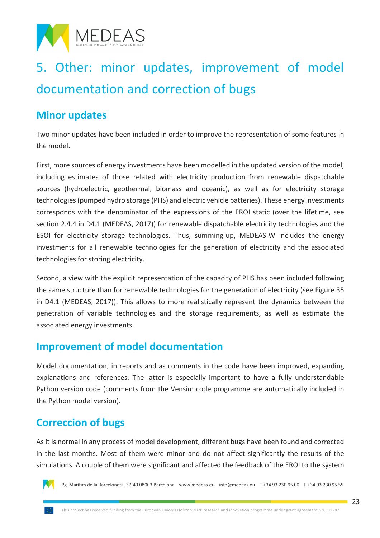

# 5. Other: minor updates, improvement of model documentation and correction of bugs

#### **Minor updates**

Two minor updates have been included in order to improve the representation of some features in the model

First, more sources of energy investments have been modelled in the updated version of the model, including estimates of those related with electricity production from renewable dispatchable sources (hydroelectric, geothermal, biomass and oceanic), as well as for electricity storage technologies (pumped hydro storage (PHS) and electric vehicle batteries). These energy investments corresponds with the denominator of the expressions of the EROI static (over the lifetime, see section 2.4.4 in D4.1 (MEDEAS, 2017)) for renewable dispatchable electricity technologies and the ESOI for electricity storage technologies. Thus, summing-up, MEDEAS-W includes the energy investments for all renewable technologies for the generation of electricity and the associated technologies for storing electricity.

Second, a view with the explicit representation of the capacity of PHS has been included following the same structure than for renewable technologies for the generation of electricity (see Figure 35 in D4.1 (MEDEAS, 2017)). This allows to more realistically represent the dynamics between the penetration of variable technologies and the storage requirements, as well as estimate the associated energy investments.

#### **Improvement of model documentation**

Model documentation, in reports and as comments in the code have been improved, expanding explanations and references. The latter is especially important to have a fully understandable Python version code (comments from the Vensim code programme are automatically included in the Python model version).

#### **Correccion of bugs**

As it is normal in any process of model development, different bugs have been found and corrected in the last months. Most of them were minor and do not affect significantly the results of the simulations. A couple of them were significant and affected the feedback of the EROI to the system

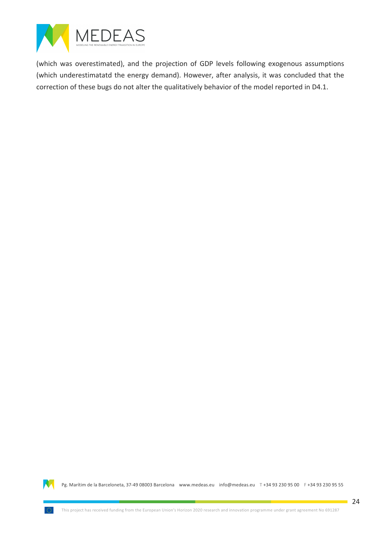

(which was overestimated), and the projection of GDP levels following exogenous assumptions (which underestimatatd the energy demand). However, after analysis, it was concluded that the correction of these bugs do not alter the qualitatively behavior of the model reported in D4.1.

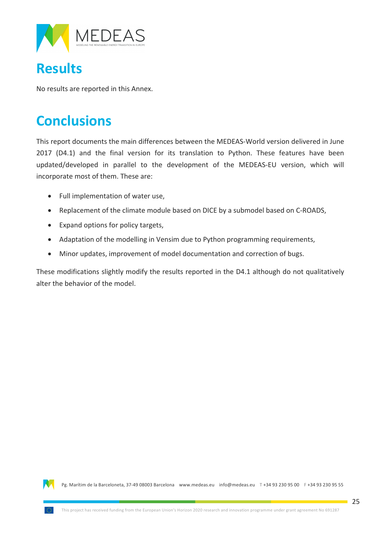

### **Results**

No results are reported in this Annex.

### **Conclusions**

This report documents the main differences between the MEDEAS-World version delivered in June 2017 (D4.1) and the final version for its translation to Python. These features have been updated/developed in parallel to the development of the MEDEAS-EU version, which will incorporate most of them. These are:

- Full implementation of water use,
- Replacement of the climate module based on DICE by a submodel based on C-ROADS,
- Expand options for policy targets,
- Adaptation of the modelling in Vensim due to Python programming requirements,
- Minor updates, improvement of model documentation and correction of bugs.

These modifications slightly modify the results reported in the D4.1 although do not qualitatively alter the behavior of the model.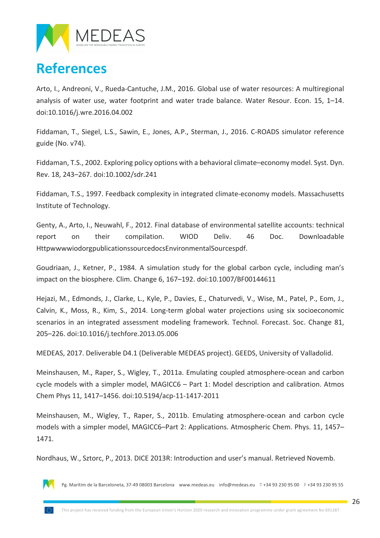

### **References**

Arto, I., Andreoni, V., Rueda-Cantuche, J.M., 2016. Global use of water resources: A multiregional analysis of water use, water footprint and water trade balance. Water Resour. Econ. 15,  $1-14$ . doi:10.1016/j.wre.2016.04.002

Fiddaman, T., Siegel, L.S., Sawin, E., Jones, A.P., Sterman, J., 2016. C-ROADS simulator reference guide (No. v74).

Fiddaman, T.S., 2002. Exploring policy options with a behavioral climate–economy model. Syst. Dyn. Rev. 18, 243–267. doi:10.1002/sdr.241

Fiddaman, T.S., 1997. Feedback complexity in integrated climate-economy models. Massachusetts Institute of Technology.

Genty, A., Arto, I., Neuwahl, F., 2012. Final database of environmental satellite accounts: technical report on their compilation. WIOD Deliv. 46 Doc. Downloadable HttpwwwwiodorgpublicationssourcedocsEnvironmentalSourcespdf.

Goudriaan, J., Ketner, P., 1984. A simulation study for the global carbon cycle, including man's impact on the biosphere. Clim. Change  $6, 167-192$ . doi:10.1007/BF00144611

Hejazi, M., Edmonds, J., Clarke, L., Kyle, P., Davies, E., Chaturvedi, V., Wise, M., Patel, P., Eom, J., Calvin, K., Moss, R., Kim, S., 2014. Long-term global water projections using six socioeconomic scenarios in an integrated assessment modeling framework. Technol. Forecast. Soc. Change 81, 205–226. doi:10.1016/j.techfore.2013.05.006

MEDEAS, 2017. Deliverable D4.1 (Deliverable MEDEAS project). GEEDS, University of Valladolid.

Meinshausen, M., Raper, S., Wigley, T., 2011a. Emulating coupled atmosphere-ocean and carbon cycle models with a simpler model, MAGICC6 - Part 1: Model description and calibration. Atmos Chem Phys 11, 1417–1456. doi:10.5194/acp-11-1417-2011

Meinshausen, M., Wigley, T., Raper, S., 2011b. Emulating atmosphere-ocean and carbon cycle models with a simpler model, MAGICC6–Part 2: Applications. Atmospheric Chem. Phys. 11, 1457– 1471.

Nordhaus, W., Sztorc, P., 2013. DICE 2013R: Introduction and user's manual. Retrieved Novemb.

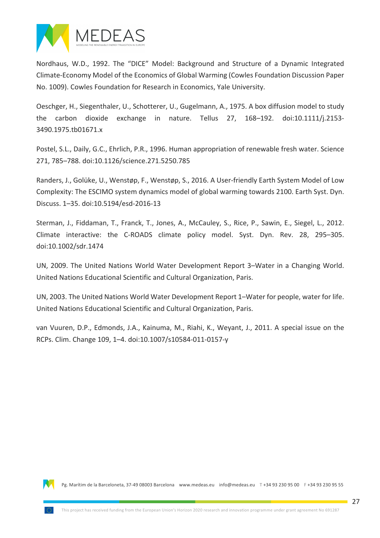

Nordhaus, W.D., 1992. The "DICE" Model: Background and Structure of a Dynamic Integrated Climate-Economy Model of the Economics of Global Warming (Cowles Foundation Discussion Paper No. 1009). Cowles Foundation for Research in Economics, Yale University.

Oeschger, H., Siegenthaler, U., Schotterer, U., Gugelmann, A., 1975. A box diffusion model to study the carbon dioxide exchange in nature. Tellus  $27$ ,  $168-192$ . doi:10.1111/j.2153-3490.1975.tb01671.x

Postel, S.L., Daily, G.C., Ehrlich, P.R., 1996. Human appropriation of renewable fresh water. Science 271, 785-788. doi:10.1126/science.271.5250.785

Randers, J., Golüke, U., Wenstøp, F., Wenstøp, S., 2016. A User-friendly Earth System Model of Low Complexity: The ESCIMO system dynamics model of global warming towards 2100. Earth Syst. Dyn. Discuss. 1–35. doi:10.5194/esd-2016-13

Sterman, J., Fiddaman, T., Franck, T., Jones, A., McCauley, S., Rice, P., Sawin, E., Siegel, L., 2012. Climate interactive: the C-ROADS climate policy model. Syst. Dyn. Rev. 28, 295–305. doi:10.1002/sdr.1474

UN, 2009. The United Nations World Water Development Report 3-Water in a Changing World. United Nations Educational Scientific and Cultural Organization, Paris.

UN, 2003. The United Nations World Water Development Report 1–Water for people, water for life. United Nations Educational Scientific and Cultural Organization, Paris.

van Vuuren, D.P., Edmonds, J.A., Kainuma, M., Riahi, K., Weyant, J., 2011. A special issue on the RCPs. Clim. Change 109, 1-4. doi:10.1007/s10584-011-0157-y

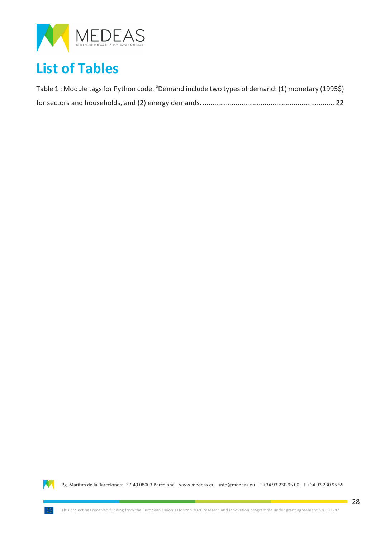

## **List of Tables**

| Table 1 : Module tags for Python code. <sup>a</sup> Demand include two types of demand: (1) monetary (1995\$) |  |
|---------------------------------------------------------------------------------------------------------------|--|
|                                                                                                               |  |